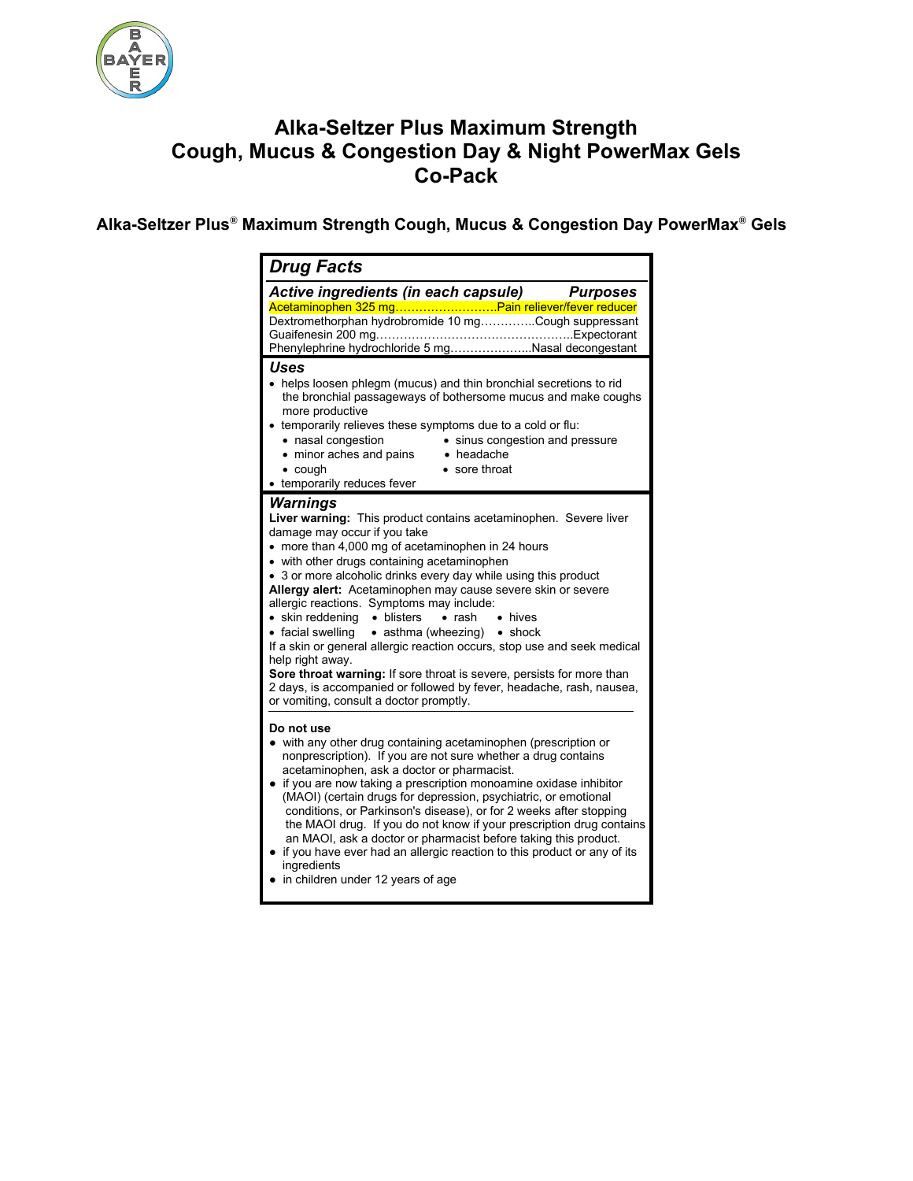

**Alka-Seltzer Plus® Maximum Strength Cough, Mucus & Congestion Day PowerMax® Gels**

| <b>Drug Facts</b>                                                                                                                                                                                                                                                                                                                                                                                                                                                                                                                                                                                                                                                                                                                                                                              |
|------------------------------------------------------------------------------------------------------------------------------------------------------------------------------------------------------------------------------------------------------------------------------------------------------------------------------------------------------------------------------------------------------------------------------------------------------------------------------------------------------------------------------------------------------------------------------------------------------------------------------------------------------------------------------------------------------------------------------------------------------------------------------------------------|
| Active ingredients (in each capsule)<br><b>Purposes</b><br>Acetaminophen 325 mgPain reliever/fever reducer<br>Dextromethorphan hydrobromide 10 mgCough suppressant<br>Phenylephrine hydrochloride 5 mgNasal decongestant                                                                                                                                                                                                                                                                                                                                                                                                                                                                                                                                                                       |
| <b>Uses</b><br>• helps loosen phlegm (mucus) and thin bronchial secretions to rid<br>the bronchial passageways of bothersome mucus and make coughs<br>more productive<br>• temporarily relieves these symptoms due to a cold or flu:<br>• nasal congestion<br>• sinus congestion and pressure<br>• minor aches and pains<br>$\bullet$ headache<br>• sore throat<br>$\bullet$ cough<br>• temporarily reduces fever                                                                                                                                                                                                                                                                                                                                                                              |
| Warnings<br>Liver warning: This product contains acetaminophen. Severe liver<br>damage may occur if you take<br>• more than 4,000 mg of acetaminophen in 24 hours<br>• with other drugs containing acetaminophen<br>• 3 or more alcoholic drinks every day while using this product<br>Allergy alert: Acetaminophen may cause severe skin or severe<br>allergic reactions. Symptoms may include:<br>• skin reddening • blisters<br>• rash • hives<br>• facial swelling • asthma (wheezing) • shock<br>If a skin or general allergic reaction occurs, stop use and seek medical<br>help right away.<br>Sore throat warning: If sore throat is severe, persists for more than<br>2 days, is accompanied or followed by fever, headache, rash, nausea,<br>or vomiting, consult a doctor promptly. |
| Do not use<br>with any other drug containing acetaminophen (prescription or<br>nonprescription). If you are not sure whether a drug contains<br>acetaminophen, ask a doctor or pharmacist.<br>if you are now taking a prescription monoamine oxidase inhibitor<br>(MAOI) (certain drugs for depression, psychiatric, or emotional<br>conditions, or Parkinson's disease), or for 2 weeks after stopping<br>the MAOI drug. If you do not know if your prescription drug contains<br>an MAOI, ask a doctor or pharmacist before taking this product.<br>• if you have ever had an allergic reaction to this product or any of its<br>ingredients<br>• in children under 12 years of age                                                                                                          |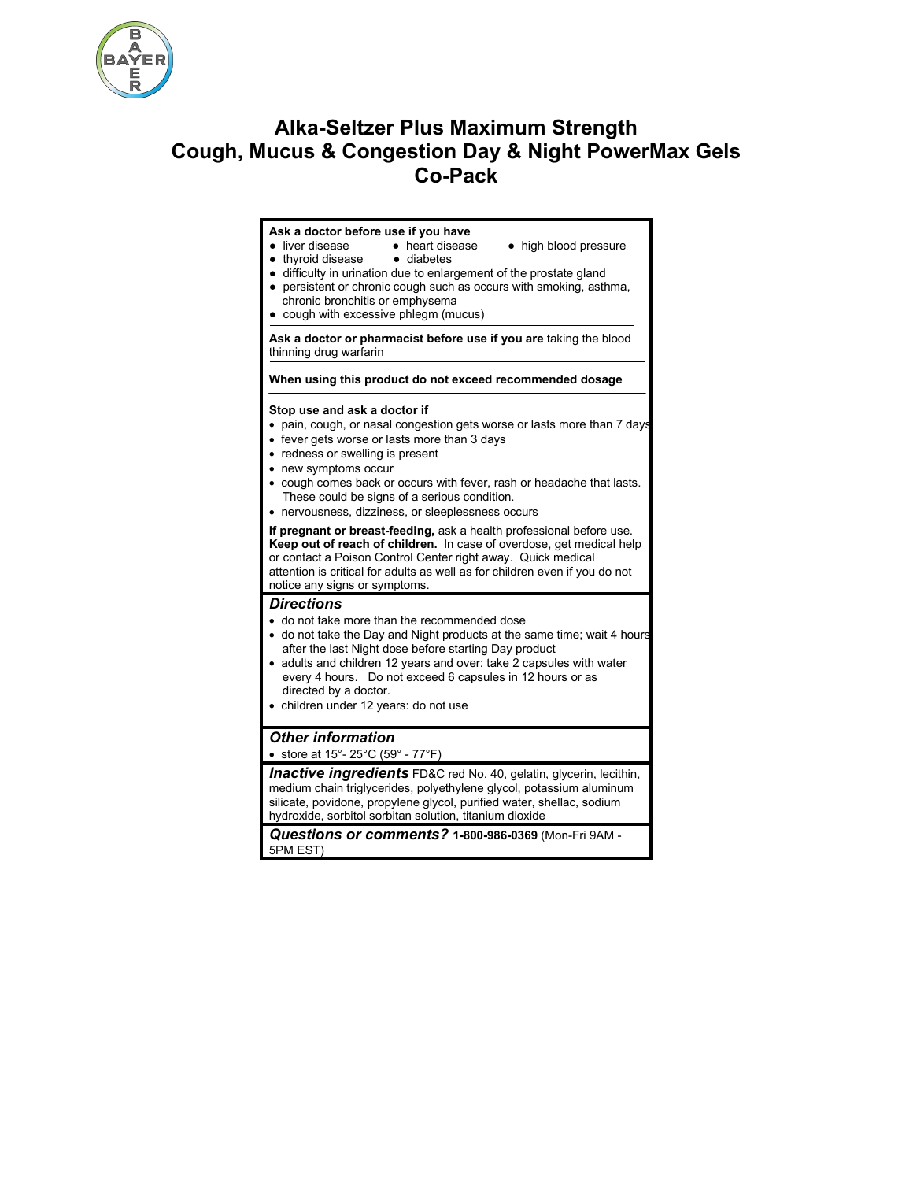

| Ask a doctor before use if you have<br>· liver disease<br>• heart disease<br>• high blood pressure<br>$\bullet\,$ thyroid disease<br>• diabetes<br>• difficulty in urination due to enlargement of the prostate gland<br>• persistent or chronic cough such as occurs with smoking, asthma,<br>chronic bronchitis or emphysema<br>cough with excessive phlegm (mucus)<br>Ask a doctor or pharmacist before use if you are taking the blood |
|--------------------------------------------------------------------------------------------------------------------------------------------------------------------------------------------------------------------------------------------------------------------------------------------------------------------------------------------------------------------------------------------------------------------------------------------|
| thinning drug warfarin                                                                                                                                                                                                                                                                                                                                                                                                                     |
| When using this product do not exceed recommended dosage                                                                                                                                                                                                                                                                                                                                                                                   |
| Stop use and ask a doctor if<br>● pain, cough, or nasal congestion gets worse or lasts more than 7 days<br>• fever gets worse or lasts more than 3 days<br>• redness or swelling is present<br>• new symptoms occur<br>• cough comes back or occurs with fever, rash or headache that lasts.                                                                                                                                               |
| These could be signs of a serious condition.<br>nervousness, dizziness, or sleeplessness occurs                                                                                                                                                                                                                                                                                                                                            |
| If pregnant or breast-feeding, ask a health professional before use.<br>Keep out of reach of children. In case of overdose, get medical help<br>or contact a Poison Control Center right away. Quick medical<br>attention is critical for adults as well as for children even if you do not<br>notice any signs or symptoms.                                                                                                               |
| <b>Directions</b>                                                                                                                                                                                                                                                                                                                                                                                                                          |
| • do not take more than the recommended dose<br>• do not take the Day and Night products at the same time; wait 4 hours<br>after the last Night dose before starting Day product<br>adults and children 12 years and over: take 2 capsules with water<br>every 4 hours. Do not exceed 6 capsules in 12 hours or as<br>directed by a doctor.<br>· children under 12 years: do not use                                                       |
|                                                                                                                                                                                                                                                                                                                                                                                                                                            |
| <b>Other information</b><br>• store at 15°-25°C (59° - 77°F)                                                                                                                                                                                                                                                                                                                                                                               |
| <b>Inactive ingredients</b> FD&C red No. 40, gelatin, glycerin, lecithin,<br>medium chain triglycerides, polyethylene glycol, potassium aluminum<br>silicate, povidone, propylene glycol, purified water, shellac, sodium<br>hydroxide, sorbitol sorbitan solution, titanium dioxide                                                                                                                                                       |
| <b>Questions or comments? 1-800-986-0369 (Mon-Fri 9AM -</b><br>5PM EST)                                                                                                                                                                                                                                                                                                                                                                    |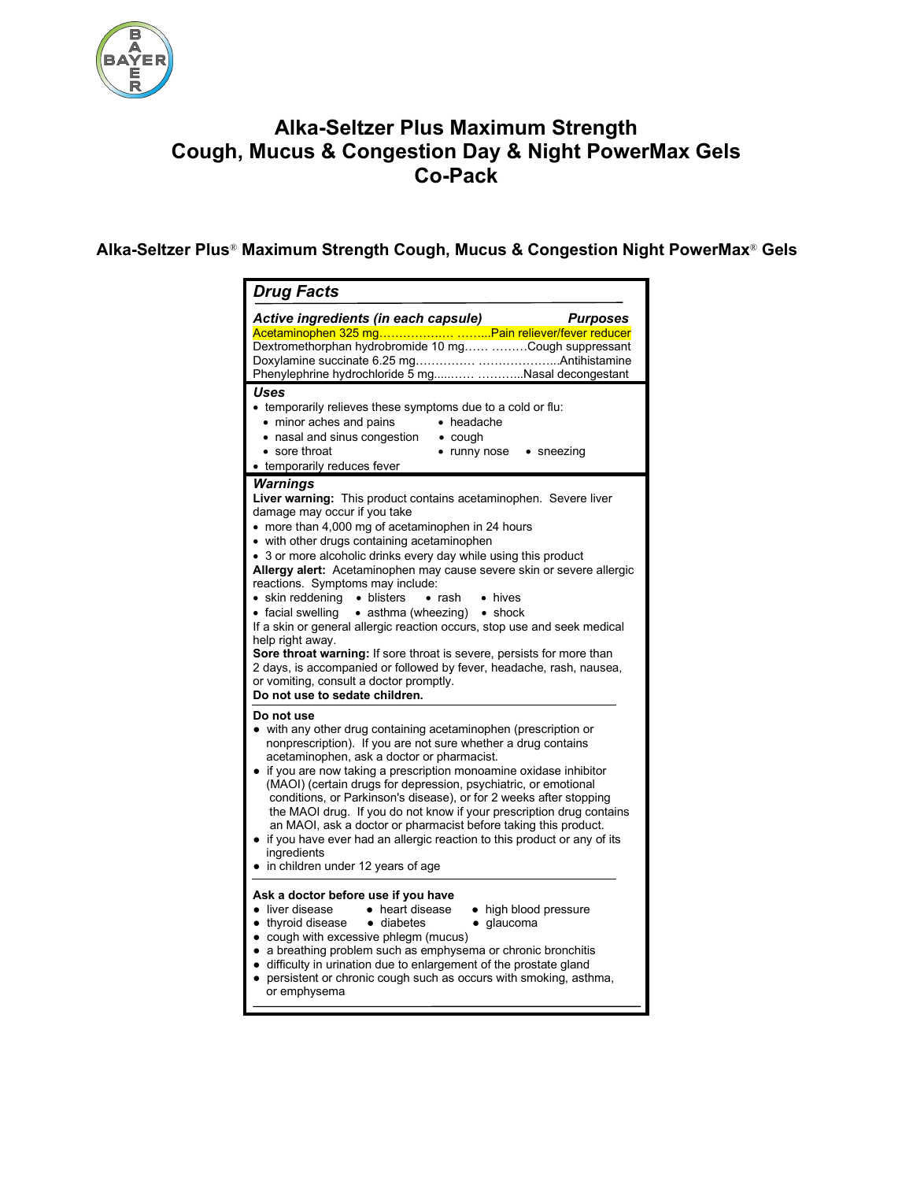

**Alka-Seltzer Plus**® **Maximum Strength Cough, Mucus & Congestion Night PowerMax**® **Gels**

| <b>Drug Facts</b>                                                                                                                                                                                                                                                                                                                                                                                                                                                                                                                                                                                                                                                                                                                                                                                                                                      |
|--------------------------------------------------------------------------------------------------------------------------------------------------------------------------------------------------------------------------------------------------------------------------------------------------------------------------------------------------------------------------------------------------------------------------------------------------------------------------------------------------------------------------------------------------------------------------------------------------------------------------------------------------------------------------------------------------------------------------------------------------------------------------------------------------------------------------------------------------------|
| Active ingredients (in each capsule)<br><b>Purposes</b><br>Dextromethorphan hydrobromide 10 mg Cough suppressant<br>Phenylephrine hydrochloride 5 mg Nasal decongestant                                                                                                                                                                                                                                                                                                                                                                                                                                                                                                                                                                                                                                                                                |
| Uses<br>• temporarily relieves these symptoms due to a cold or flu:<br>• minor aches and pains<br>• headache<br>• nasal and sinus congestion<br>$\bullet$ cough<br>• sore throat<br>• runny nose • sneezing<br>• temporarily reduces fever                                                                                                                                                                                                                                                                                                                                                                                                                                                                                                                                                                                                             |
| Warnings<br>Liver warning: This product contains acetaminophen. Severe liver<br>damage may occur if you take<br>• more than 4,000 mg of acetaminophen in 24 hours<br>• with other drugs containing acetaminophen<br>• 3 or more alcoholic drinks every day while using this product<br>Allergy alert: Acetaminophen may cause severe skin or severe allergic<br>reactions. Symptoms may include:<br>• skin reddening • blisters<br>$\bullet$ rash<br>• hives<br>• facial swelling • asthma (wheezing)<br>$\bullet$ shock<br>If a skin or general allergic reaction occurs, stop use and seek medical<br>help right away.<br>Sore throat warning: If sore throat is severe, persists for more than<br>2 days, is accompanied or followed by fever, headache, rash, nausea,<br>or vomiting, consult a doctor promptly.<br>Do not use to sedate children. |
| Do not use<br>with any other drug containing acetaminophen (prescription or<br>nonprescription). If you are not sure whether a drug contains<br>acetaminophen, ask a doctor or pharmacist.<br>if you are now taking a prescription monoamine oxidase inhibitor<br>(MAOI) (certain drugs for depression, psychiatric, or emotional<br>conditions, or Parkinson's disease), or for 2 weeks after stopping<br>the MAOI drug. If you do not know if your prescription drug contains<br>an MAOI, ask a doctor or pharmacist before taking this product.<br>if you have ever had an allergic reaction to this product or any of its<br>inaredients<br>in children under 12 years of age                                                                                                                                                                      |
| Ask a doctor before use if you have<br>• heart disease<br>liver disease<br>• high blood pressure<br>• thyroid disease<br>• diabetes<br>· glaucoma<br>• cough with excessive phlegm (mucus)<br>• a breathing problem such as emphysema or chronic bronchitis<br>· difficulty in urination due to enlargement of the prostate gland<br>persistent or chronic cough such as occurs with smoking, asthma,<br>or emphysema                                                                                                                                                                                                                                                                                                                                                                                                                                  |